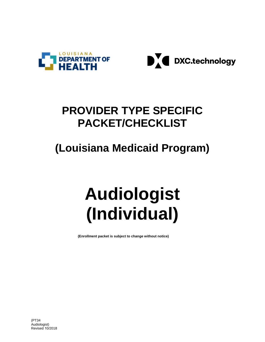



# **PROVIDER TYPE SPECIFIC PACKET/CHECKLIST**

# **(Louisiana Medicaid Program)**

# **Audiologist (Individual)**

**(Enrollment packet is subject to change without notice)**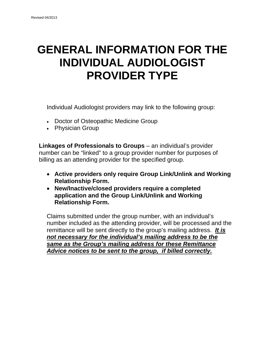# **GENERAL INFORMATION FOR THE INDIVIDUAL AUDIOLOGIST PROVIDER TYPE**

Individual Audiologist providers may link to the following group:

- Doctor of Osteopathic Medicine Group
- Physician Group

**Linkages of Professionals to Groups** – an individual's provider number can be "linked" to a group provider number for purposes of billing as an attending provider for the specified group.

- **Active providers only require Group Link/Unlink and Working Relationship Form.**
- **New/Inactive/closed providers require a completed application and the Group Link/Unlink and Working Relationship Form.**

Claims submitted under the group number, with an individual's number included as the attending provider, will be processed and the remittance will be sent directly to the group's mailing address. *It is not necessary for the individual's mailing address to be the same as the Group's mailing address for these Remittance Advice notices to be sent to the group, if billed correctly.*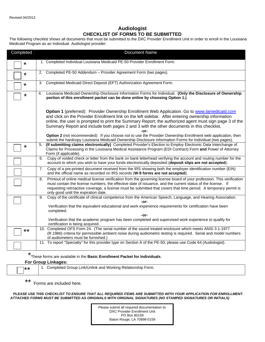#### **Audiologist CHECKLIST OF FORMS TO BE SUBMITTED**

The following checklist shows all documents that must be submitted to the DXC Provider Enrollment Unit in order to enroll in the Louisiana Medicaid Program as an Individual Audiologist provider:

| Completed | <b>Document Name</b>                                                                                                                                                                                                                                                                                                                                                                                                                                                                                                                                                                                                                             |
|-----------|--------------------------------------------------------------------------------------------------------------------------------------------------------------------------------------------------------------------------------------------------------------------------------------------------------------------------------------------------------------------------------------------------------------------------------------------------------------------------------------------------------------------------------------------------------------------------------------------------------------------------------------------------|
| $\star$   | 1. Completed Individual Louisiana Medicaid PE-50 Provider Enrollment Form.                                                                                                                                                                                                                                                                                                                                                                                                                                                                                                                                                                       |
| $\star$   | 2. Completed PE-50 Addendum - Provider Agreement Form (two pages).                                                                                                                                                                                                                                                                                                                                                                                                                                                                                                                                                                               |
| $\star$   | 3. Completed Medicaid Direct Deposit (EFT) Authorization Agreement Form.                                                                                                                                                                                                                                                                                                                                                                                                                                                                                                                                                                         |
| *         | Louisiana Medicaid Ownership Disclosure Information Forms for Individual. (Only the Disclosure of Ownership<br>4.<br>portion of this enrollment packet can be done online by choosing Option 1.)                                                                                                                                                                                                                                                                                                                                                                                                                                                 |
|           | Option 1 (preferred): Provider Ownership Enrollment Web Application. Go to www.lamedicaid.com<br>and click on the Provider Enrollment link on the left sidebar. After entering ownership information<br>online, the user is prompted to print the Summary Report; the authorized agent must sign page 3 of the<br>Summary Report and include both pages 2 and 3 with the other documents in this checklist.<br>-or-<br>Option 2 (not recommended): If you choose not to use the Provider Ownership Enrollment web application, then<br>submit the hardcopy Louisiana Medicaid Ownership Disclosure Information Forms for Individual (two pages). |
| $\star$   | 5. (If submitting claims electronically) Completed Provider's Election to Employ Electronic Data Interchange of<br>Claims for Processing in the Louisiana Medical Assistance Program (EDI Contract) Form and Power of Attorney<br>Form (if applicable).                                                                                                                                                                                                                                                                                                                                                                                          |
|           | Copy of voided check or letter from the bank on bank letterhead verifying the account and routing number for the<br>6.<br>account to which you wish to have your funds electronically deposited (deposit slips are not accepted).                                                                                                                                                                                                                                                                                                                                                                                                                |
|           | Copy of a pre-printed document received from the IRS showing both the employer identification number (EIN)<br>7.<br>and the official name as recorded on IRS records (W-9 forms are not accepted).                                                                                                                                                                                                                                                                                                                                                                                                                                               |
|           | Printout of online medical license verification from the governing license board of your profession. This verification<br>8.<br>must contain the license numbers, the effective date of issuance, and the current status of the license. If<br>requesting retroactive coverage, a license must be submitted that covers that time period. A temporary permit is<br>only good until the expiration date.                                                                                                                                                                                                                                          |
|           | Copy of the certificate of clinical competence from the American Speech, Language, and Hearing Association.<br>9.<br>-or-<br>Verification that the equivalent educational and work experience requirements for certification have been<br>completed.<br>-or-                                                                                                                                                                                                                                                                                                                                                                                     |
|           | Verification that the academic program has been completed and supervised work experience to qualify for<br>certification is being acquired.                                                                                                                                                                                                                                                                                                                                                                                                                                                                                                      |
| $***$     | 10. Completed OFS Form 24. (The serial number of the sound treated enclosure which meets ANSI 3.1-1977<br>(R.1986) criteria for permissible ambient noise during audiometric testing is required. Serial and model numbers<br>of audiometers must be furnished.)                                                                                                                                                                                                                                                                                                                                                                                 |
|           | 11. To report "Specialty" for this provider type on Section A of the PE-50, please use Code 64 (Audiologist).                                                                                                                                                                                                                                                                                                                                                                                                                                                                                                                                    |
| *         | These forms are available in the Basic Enrollment Packet for Individuals.                                                                                                                                                                                                                                                                                                                                                                                                                                                                                                                                                                        |

#### These forms are available in the **Basic Enrollment Packet for Individuals**.

## **For Group Linkages:**

| Completed Group Link/Unlink and Working Relationship Form. |
|------------------------------------------------------------|
|                                                            |

## \*\* Forms are included here.

*PLEASE USE THIS CHECKLIST TO ENSURE THAT ALL REQUIRED ITEMS ARE SUBMITTED WITH YOUR APPLICATION FOR ENROLLMENT. ATTACHED FORMS MUST BE SUBMITTED AS ORIGINALS WITH ORIGINAL SIGNATURES (NO STAMPED SIGNATURES OR INITIALS)* 

> Please submit all required documentation to: DXC Provider Enrollment Unit PO Box 80159 Baton Rouge, LA 70898-0159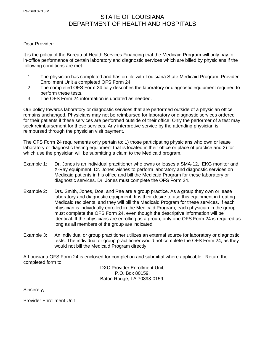## STATE OF LOUISIANA DEPARTMENT OF HEALTH AND HOSPITALS

#### Dear Provider:

It is the policy of the Bureau of Health Services Financing that the Medicaid Program will only pay for in-office performance of certain laboratory and diagnostic services which are billed by physicians if the following conditions are met:

- 1. The physician has completed and has on file with Louisiana State Medicaid Program, Provider Enrollment Unit a completed OFS Form 24.
- 2. The completed OFS Form 24 fully describes the laboratory or diagnostic equipment required to perform these tests.
- 3. The OFS Form 24 information is updated as needed.

Our policy towards laboratory or diagnostic services that are performed outside of a physician office remains unchanged. Physicians may not be reimbursed for laboratory or diagnostic services ordered for their patients if these services are performed outside of their office. Only the performer of a test may seek reimbursement for these services. Any interpretive service by the attending physician is reimbursed through the physician visit payment.

The OFS Form 24 requirements only pertain to: 1) those participating physicians who own or lease laboratory or diagnostic testing equipment that is located in their office or place of practice and 2) for which use the physician will be submitting a claim to the Medicaid program.

- Example 1: Dr. Jones is an individual practitioner who owns or leases a SMA-12, EKG monitor and X-Ray equipment. Dr. Jones wishes to perform laboratory and diagnostic services on Medicaid patients in his office and bill the Medicaid Program for these laboratory or diagnostic services. Dr. Jones must complete the OFS Form 24.
- Example 2: Drs. Smith, Jones, Doe, and Rae are a group practice. As a group they own or lease laboratory and diagnostic equipment. It is their desire to use this equipment in treating Medicaid recipients, and they will bill the Medicaid Program for these services. If each physician is individually enrolled in the Medicaid Program, each physician in the group must complete the OFS Form 24, even though the descriptive information will be identical. If the physicians are enrolling as a group, only one OFS Form 24 is required as long as all members of the group are indicated.
- Example 3: An individual or group practitioner utilizes an external source for laboratory or diagnostic tests. The individual or group practitioner would not complete the OFS Form 24, as they would not bill the Medicaid Program directly.

A Louisiana OFS Form 24 is enclosed for completion and submittal where applicable. Return the completed form to:

DXC Provider Enrollment Unit, P.O. Box 80159, Baton Rouge, LA 70898-0159.

Sincerely,

Provider Enrollment Unit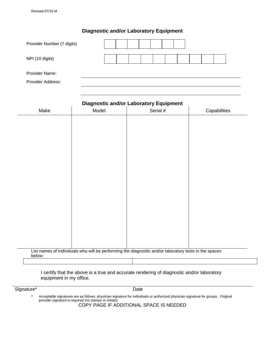## **Diagnostic and/or Laboratory Equipment**

| Provider Number (7 digits) |  |  |  |  |  |  |
|----------------------------|--|--|--|--|--|--|
| NPI (10 digits)            |  |  |  |  |  |  |
| Provider Name:             |  |  |  |  |  |  |
| Provider Address:          |  |  |  |  |  |  |

| List names of individuals who will be performing the diagnostic and/or laboratory tests in the spaces |        |       | <b>Diagnostic and/or Laboratory Equipment</b> |              |
|-------------------------------------------------------------------------------------------------------|--------|-------|-----------------------------------------------|--------------|
|                                                                                                       | Make   | Model | Serial #                                      | Capabilities |
|                                                                                                       |        |       |                                               |              |
|                                                                                                       |        |       |                                               |              |
|                                                                                                       |        |       |                                               |              |
|                                                                                                       |        |       |                                               |              |
|                                                                                                       |        |       |                                               |              |
|                                                                                                       |        |       |                                               |              |
|                                                                                                       |        |       |                                               |              |
|                                                                                                       |        |       |                                               |              |
|                                                                                                       |        |       |                                               |              |
|                                                                                                       |        |       |                                               |              |
|                                                                                                       |        |       |                                               |              |
|                                                                                                       |        |       |                                               |              |
|                                                                                                       |        |       |                                               |              |
|                                                                                                       |        |       |                                               |              |
|                                                                                                       |        |       |                                               |              |
|                                                                                                       |        |       |                                               |              |
|                                                                                                       |        |       |                                               |              |
|                                                                                                       |        |       |                                               |              |
|                                                                                                       |        |       |                                               |              |
|                                                                                                       |        |       |                                               |              |
|                                                                                                       |        |       |                                               |              |
|                                                                                                       |        |       |                                               |              |
|                                                                                                       |        |       |                                               |              |
|                                                                                                       |        |       |                                               |              |
|                                                                                                       |        |       |                                               |              |
|                                                                                                       |        |       |                                               |              |
|                                                                                                       | below: |       |                                               |              |
|                                                                                                       |        |       |                                               |              |
|                                                                                                       |        |       |                                               |              |

Signature\* Date

\* Acceptable signatures are as follows: physician signature for individuals or authorized physician signature for groups. Original provider signature is required (no stamps or initials)

COPY PAGE IF ADDITIONAL SPACE IS NEEDED